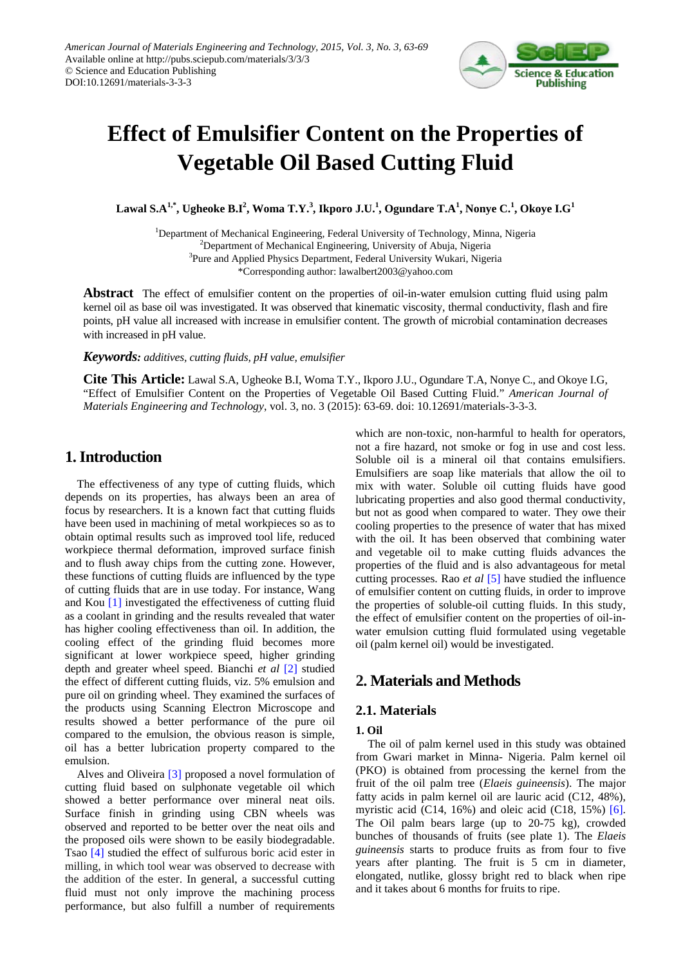

# **Effect of Emulsifier Content on the Properties of Vegetable Oil Based Cutting Fluid**

**Lawal S.A1,\* , Ugheoke B.I<sup>2</sup> , Woma T.Y. 3 , Ikporo J.U.<sup>1</sup> , Ogundare T.A<sup>1</sup> , Nonye C.<sup>1</sup> , Okoye I.G<sup>1</sup>**

<sup>1</sup>Department of Mechanical Engineering, Federal University of Technology, Minna, Nigeria <sup>2</sup>Department of Mechanical Engineering, University of Abuja, Nigeria <sup>3</sup>Pure and Applied Physics Department, Federal University Wukari, Nigeria \*Corresponding author: lawalbert2003@yahoo.com

**Abstract** The effect of emulsifier content on the properties of oil-in-water emulsion cutting fluid using palm kernel oil as base oil was investigated. It was observed that kinematic viscosity, thermal conductivity, flash and fire points, pH value all increased with increase in emulsifier content. The growth of microbial contamination decreases with increased in pH value.

*Keywords: additives, cutting fluids, pH value, emulsifier*

**Cite This Article:** Lawal S.A, Ugheoke B.I, Woma T.Y., Ikporo J.U., Ogundare T.A, Nonye C., and Okoye I.G, "Effect of Emulsifier Content on the Properties of Vegetable Oil Based Cutting Fluid." *American Journal of Materials Engineering and Technology*, vol. 3, no. 3 (2015): 63-69. doi: 10.12691/materials-3-3-3.

# **1. Introduction**

The effectiveness of any type of cutting fluids, which depends on its properties, has always been an area of focus by researchers. It is a known fact that cutting fluids have been used in machining of metal workpieces so as to obtain optimal results such as improved tool life, reduced workpiece thermal deformation, improved surface finish and to flush away chips from the cutting zone. However, these functions of cutting fluids are influenced by the type of cutting fluids that are in use today. For instance, Wang and Kou [\[1\]](#page-6-0) investigated the effectiveness of cutting fluid as a coolant in grinding and the results revealed that water has higher cooling effectiveness than oil. In addition, the cooling effect of the grinding fluid becomes more significant at lower workpiece speed, higher grinding depth and greater wheel speed. Bianchi *et al* [\[2\]](#page-6-1) studied the effect of different cutting fluids, viz. 5% emulsion and pure oil on grinding wheel. They examined the surfaces of the products using Scanning Electron Microscope and results showed a better performance of the pure oil compared to the emulsion, the obvious reason is simple, oil has a better lubrication property compared to the emulsion.

Alves and Oliveira [\[3\]](#page-6-2) proposed a novel formulation of cutting fluid based on sulphonate vegetable oil which showed a better performance over mineral neat oils. Surface finish in grinding using CBN wheels was observed and reported to be better over the neat oils and the proposed oils were shown to be easily biodegradable. Tsao [\[4\]](#page-6-3) studied the effect of sulfurous boric acid ester in milling, in which tool wear was observed to decrease with the addition of the ester. In general, a successful cutting fluid must not only improve the machining process performance, but also fulfill a number of requirements

which are non-toxic, non-harmful to health for operators, not a fire hazard, not smoke or fog in use and cost less. Soluble oil is a mineral oil that contains emulsifiers. Emulsifiers are soap like materials that allow the oil to mix with water. Soluble oil cutting fluids have good lubricating properties and also good thermal conductivity, but not as good when compared to water. They owe their cooling properties to the presence of water that has mixed with the oil. It has been observed that combining water and vegetable oil to make cutting fluids advances the properties of the fluid and is also advantageous for metal cutting processes. Rao *et al* [\[5\]](#page-6-4) have studied the influence of emulsifier content on cutting fluids, in order to improve the properties of soluble-oil cutting fluids. In this study, the effect of emulsifier content on the properties of oil-inwater emulsion cutting fluid formulated using vegetable oil (palm kernel oil) would be investigated.

# **2. Materials and Methods**

# **2.1. Materials**

### **1. Oil**

The oil of palm kernel used in this study was obtained from Gwari market in Minna- Nigeria. Palm kernel oil (PKO) is obtained from processing the kernel from the fruit of the oil palm tree (*Elaeis guineensis*). The major fatty acids in palm kernel oil are lauric acid (C12, 48%), myristic acid (C14,  $16\%$ ) and oleic acid (C18,  $15\%$ ) [\[6\].](#page-6-5) The Oil palm bears large (up to 20-75 kg), crowded bunches of thousands of fruits (see plate 1). The *Elaeis guineensis* starts to produce fruits as from four to five years after planting. The fruit is 5 cm in diameter, elongated, nutlike, glossy bright red to black when ripe and it takes about 6 months for fruits to ripe.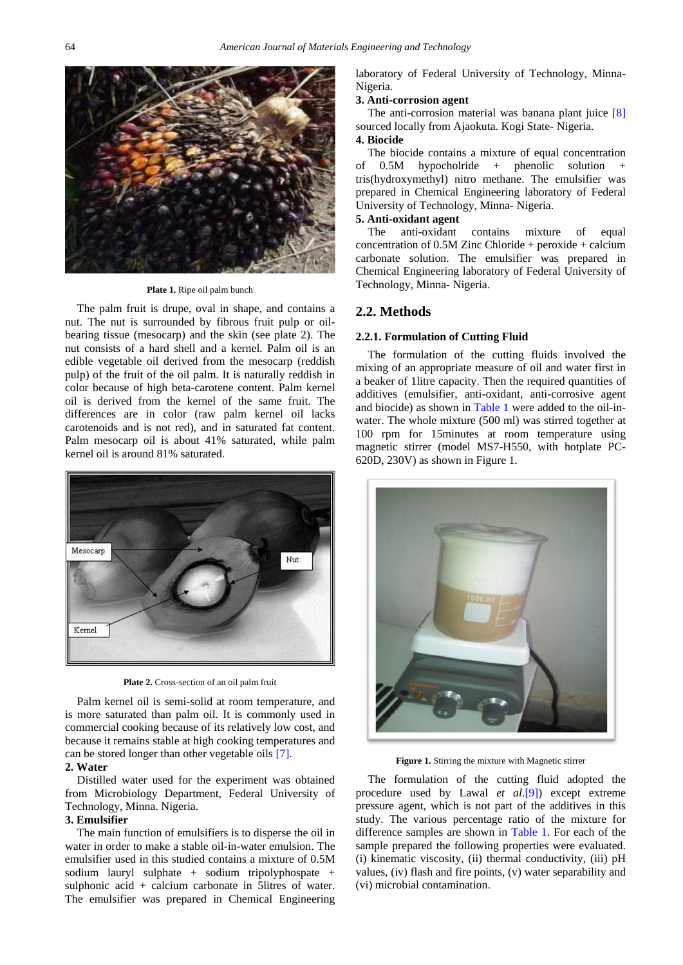

**Plate 1.** Ripe oil palm bunch

The palm fruit is drupe, oval in shape, and contains a nut. The nut is surrounded by fibrous fruit pulp or oilbearing tissue (mesocarp) and the skin (see plate 2). The nut consists of a hard shell and a kernel. Palm oil is an edible vegetable oil derived from the mesocarp (reddish pulp) of the fruit of the oil palm. It is naturally reddish in color because of high beta-carotene content. Palm kernel oil is derived from the kernel of the same fruit. The differences are in color (raw palm kernel oil lacks carotenoids and is not red), and in saturated fat content. Palm mesocarp oil is about 41% saturated, while palm kernel oil is around 81% saturated.



**Plate 2.** Cross-section of an oil palm fruit

Palm kernel oil is semi-solid at room temperature, and is more saturated than palm oil. It is commonly used in commercial cooking because of its relatively low cost, and because it remains stable at high cooking temperatures and can be stored longer than other vegetable oils [\[7\].](#page-6-6) **2. Water**

Distilled water used for the experiment was obtained from Microbiology Department, Federal University of Technology, Minna. Nigeria.

### **3. Emulsifier**

The main function of emulsifiers is to disperse the oil in water in order to make a stable oil-in-water emulsion. The emulsifier used in this studied contains a mixture of 0.5M sodium lauryl sulphate + sodium tripolyphospate + sulphonic acid + calcium carbonate in 5litres of water. The emulsifier was prepared in Chemical Engineering laboratory of Federal University of Technology, Minna-Nigeria.

#### **3. Anti-corrosion agent**

The anti-corrosion material was banana plant juice [\[8\]](#page-6-7) sourced locally from Ajaokuta. Kogi State- Nigeria.

#### **4. Biocide**

The biocide contains a mixture of equal concentration of 0.5M hypocholride + phenolic solution + tris(hydroxymethyl) nitro methane. The emulsifier was prepared in Chemical Engineering laboratory of Federal University of Technology, Minna- Nigeria.

#### **5. Anti-oxidant agent**

The anti-oxidant contains mixture of equal concentration of 0.5M Zinc Chloride + peroxide + calcium carbonate solution. The emulsifier was prepared in Chemical Engineering laboratory of Federal University of Technology, Minna- Nigeria.

#### **2.2. Methods**

#### **2.2.1. Formulation of Cutting Fluid**

The formulation of the cutting fluids involved the mixing of an appropriate measure of oil and water first in a beaker of 1litre capacity. Then the required quantities of additives (emulsifier, anti-oxidant, anti-corrosive agent and biocide) as shown in [Table 1](#page-2-0) were added to the oil-inwater. The whole mixture (500 ml) was stirred together at 100 rpm for 15minutes at room temperature using magnetic stirrer (model MS7-H550, with hotplate PC-620D, 230V) as shown in Figure 1.



**Figure 1.** Stirring the mixture with Magnetic stirrer

The formulation of the cutting fluid adopted the procedure used by Lawal *et al*[.\[9\]\)](#page-6-8) except extreme pressure agent, which is not part of the additives in this study. The various percentage ratio of the mixture for difference samples are shown in [Table 1.](#page-2-0) For each of the sample prepared the following properties were evaluated. (i) kinematic viscosity, (ii) thermal conductivity, (iii) pH values, (iv) flash and fire points, (v) water separability and (vi) microbial contamination.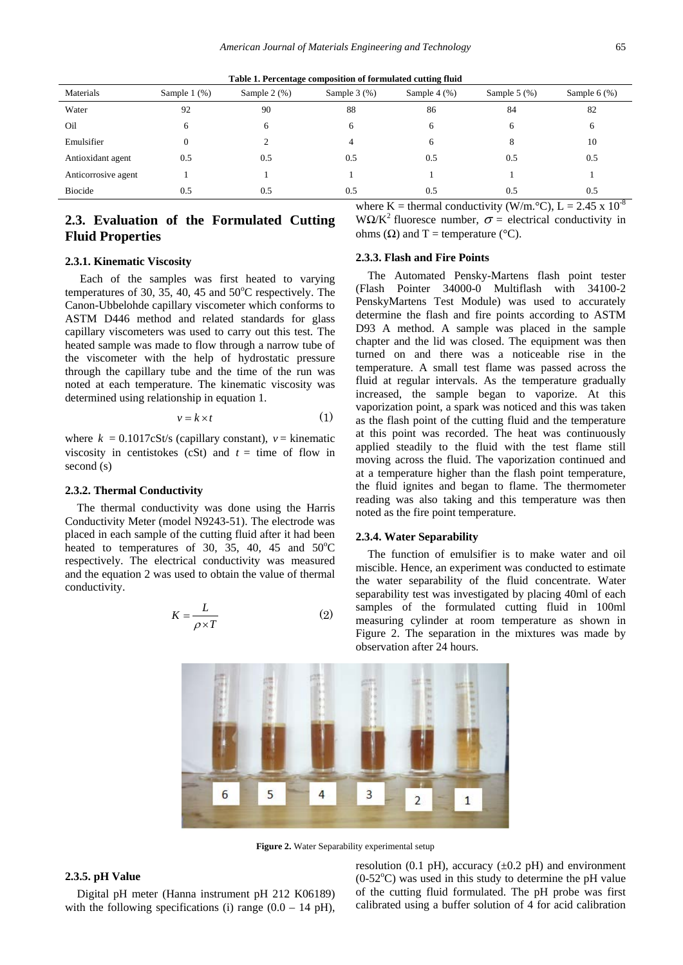<span id="page-2-0"></span>

|                     | Table 1. I creentage composition or formulated cutting multi |               |                   |                   |               |                  |  |  |  |  |  |
|---------------------|--------------------------------------------------------------|---------------|-------------------|-------------------|---------------|------------------|--|--|--|--|--|
| Materials           | Sample $1$ $(\%)$                                            | Sample $2(%)$ | Sample $3$ $(\%)$ | Sample $4$ $(\%)$ | Sample $5(%)$ | Sample $6$ $%$ ) |  |  |  |  |  |
| Water               | 92                                                           | 90            | 88                | 86                | 84            | 82               |  |  |  |  |  |
| Oil                 | h                                                            |               | 6                 | 6                 |               | 6                |  |  |  |  |  |
| Emulsifier          |                                                              |               |                   | 6                 |               | 10               |  |  |  |  |  |
| Antioxidant agent   | 0.5                                                          | 0.5           | 0.5               | 0.5               | 0.5           | 0.5              |  |  |  |  |  |
| Anticorrosive agent |                                                              |               |                   |                   |               |                  |  |  |  |  |  |
| <b>Biocide</b>      | 0.5                                                          | 0.5           | 0.5               | 0.5               | 0.5           | 0.5              |  |  |  |  |  |

**Table 1. Percentage composition of formulated cutting fluid**

# **2.3. Evaluation of the Formulated Cutting Fluid Properties**

where K = thermal conductivity (W/m.  $^{\circ}$ C), L = 2.45 x 10<sup>-8</sup> WΩ/K<sup>2</sup> fluoresce number,  $\sigma$  = electrical conductivity in ohms (Ω) and T = temperature ( $°C$ ).

The Automated Pensky-Martens flash point tester

#### **2.3.1. Kinematic Viscosity**

Each of the samples was first heated to varying temperatures of 30, 35, 40, 45 and  $50^{\circ}$ C respectively. The Canon-Ubbelohde capillary viscometer which conforms to ASTM D446 method and related standards for glass capillary viscometers was used to carry out this test. The heated sample was made to flow through a narrow tube of the viscometer with the help of hydrostatic pressure through the capillary tube and the time of the run was noted at each temperature. The kinematic viscosity was determined using relationship in equation 1.

$$
v = k \times t \tag{1}
$$

where  $k = 0.1017cSt/s$  (capillary constant),  $v =$  kinematic viscosity in centistokes (cSt) and  $t =$  time of flow in second (s)

#### **2.3.2. Thermal Conductivity**

The thermal conductivity was done using the Harris Conductivity Meter (model N9243-51). The electrode was placed in each sample of the cutting fluid after it had been heated to temperatures of 30, 35, 40, 45 and  $50^{\circ}$ C respectively. The electrical conductivity was measured and the equation 2 was used to obtain the value of thermal conductivity.

$$
K = \frac{L}{\rho \times T} \tag{2}
$$

# (Flash Pointer 34000-0 Multiflash with 34100-2

**2.3.3. Flash and Fire Points**

PenskyMartens Test Module) was used to accurately determine the flash and fire points according to ASTM D93 A method. A sample was placed in the sample chapter and the lid was closed. The equipment was then turned on and there was a noticeable rise in the temperature. A small test flame was passed across the fluid at regular intervals. As the temperature gradually increased, the sample began to vaporize. At this vaporization point, a spark was noticed and this was taken as the flash point of the cutting fluid and the temperature at this point was recorded. The heat was continuously applied steadily to the fluid with the test flame still moving across the fluid. The vaporization continued and at a temperature higher than the flash point temperature, the fluid ignites and began to flame. The thermometer reading was also taking and this temperature was then noted as the fire point temperature.

#### **2.3.4. Water Separability**

The function of emulsifier is to make water and oil miscible. Hence, an experiment was conducted to estimate the water separability of the fluid concentrate. Water separability test was investigated by placing 40ml of each samples of the formulated cutting fluid in 100ml measuring cylinder at room temperature as shown in Figure 2. The separation in the mixtures was made by observation after 24 hours.



**Figure 2.** Water Separability experimental setup

#### **2.3.5. pH Value**

Digital pH meter (Hanna instrument pH 212 K06189) with the following specifications (i) range  $(0.0 - 14 \text{ pH})$ , resolution (0.1 pH), accuracy  $(\pm 0.2 \text{ pH})$  and environment  $(0-52^{\circ}C)$  was used in this study to determine the pH value of the cutting fluid formulated. The pH probe was first calibrated using a buffer solution of 4 for acid calibration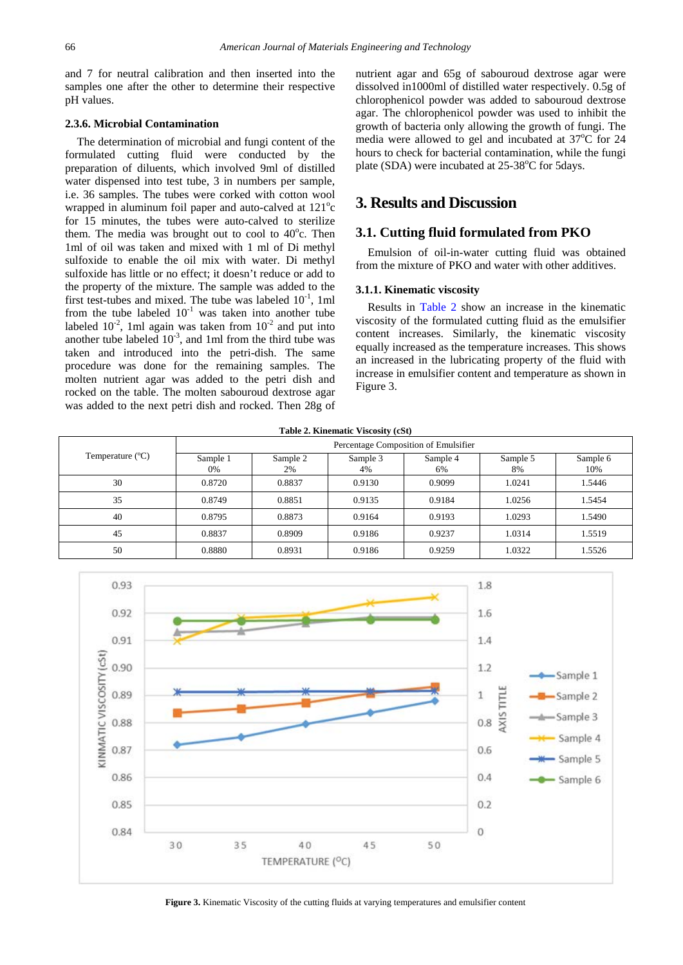and 7 for neutral calibration and then inserted into the samples one after the other to determine their respective pH values.

#### **2.3.6. Microbial Contamination**

The determination of microbial and fungi content of the formulated cutting fluid were conducted by the preparation of diluents, which involved 9ml of distilled water dispensed into test tube, 3 in numbers per sample, i.e. 36 samples. The tubes were corked with cotton wool wrapped in aluminum foil paper and auto-calved at 121°c for 15 minutes, the tubes were auto-calved to sterilize them. The media was brought out to cool to  $40^{\circ}$ c. Then 1ml of oil was taken and mixed with 1 ml of Di methyl sulfoxide to enable the oil mix with water. Di methyl sulfoxide has little or no effect; it doesn't reduce or add to the property of the mixture. The sample was added to the first test-tubes and mixed. The tube was labeled  $10^{-1}$ , 1ml from the tube labeled  $10^{-1}$  was taken into another tube labeled  $10^{-2}$ , 1ml again was taken from  $10^{-2}$  and put into another tube labeled  $10^{-3}$ , and 1ml from the third tube was taken and introduced into the petri-dish. The same procedure was done for the remaining samples. The molten nutrient agar was added to the petri dish and rocked on the table. The molten sabouroud dextrose agar was added to the next petri dish and rocked. Then 28g of

nutrient agar and 65g of sabouroud dextrose agar were dissolved in1000ml of distilled water respectively. 0.5g of chlorophenicol powder was added to sabouroud dextrose agar. The chlorophenicol powder was used to inhibit the growth of bacteria only allowing the growth of fungi. The media were allowed to gel and incubated at 37°C for 24 hours to check for bacterial contamination, while the fungi plate (SDA) were incubated at 25-38°C for 5days.

# **3. Results and Discussion**

## **3.1. Cutting fluid formulated from PKO**

Emulsion of oil-in-water cutting fluid was obtained from the mixture of PKO and water with other additives.

#### **3.1.1. Kinematic viscosity**

Results in [Table 2](#page-3-0) show an increase in the kinematic viscosity of the formulated cutting fluid as the emulsifier content increases. Similarly, the kinematic viscosity equally increased as the temperature increases. This shows an increased in the lubricating property of the fluid with increase in emulsifier content and temperature as shown in Figure 3.

<span id="page-3-0"></span>

|                           |                |                                      | Table 2. Kinematic Viscosity (cSt) |                |                |                 |  |  |  |
|---------------------------|----------------|--------------------------------------|------------------------------------|----------------|----------------|-----------------|--|--|--|
|                           |                | Percentage Composition of Emulsifier |                                    |                |                |                 |  |  |  |
| Temperature $(^{\circ}C)$ | Sample 1<br>0% | Sample 2<br>2%                       | Sample 3<br>4%                     | Sample 4<br>6% | Sample 5<br>8% | Sample 6<br>10% |  |  |  |
| 30                        | 0.8720         | 0.8837                               | 0.9130                             | 0.9099         | 1.0241         | 1.5446          |  |  |  |
| 35                        | 0.8749         | 0.8851                               | 0.9135                             | 0.9184         | 1.0256         | 1.5454          |  |  |  |
| 40                        | 0.8795         | 0.8873                               | 0.9164                             | 0.9193         | 1.0293         | 1.5490          |  |  |  |
| 45                        | 0.8837         | 0.8909                               | 0.9186                             | 0.9237         | 1.0314         | 1.5519          |  |  |  |
| 50                        | 0.8880         | 0.8931                               | 0.9186                             | 0.9259         | 1.0322         | 1.5526          |  |  |  |

**Table 2. Kinematic Viscosity (cSt)**



**Figure 3.** Kinematic Viscosity of the cutting fluids at varying temperatures and emulsifier content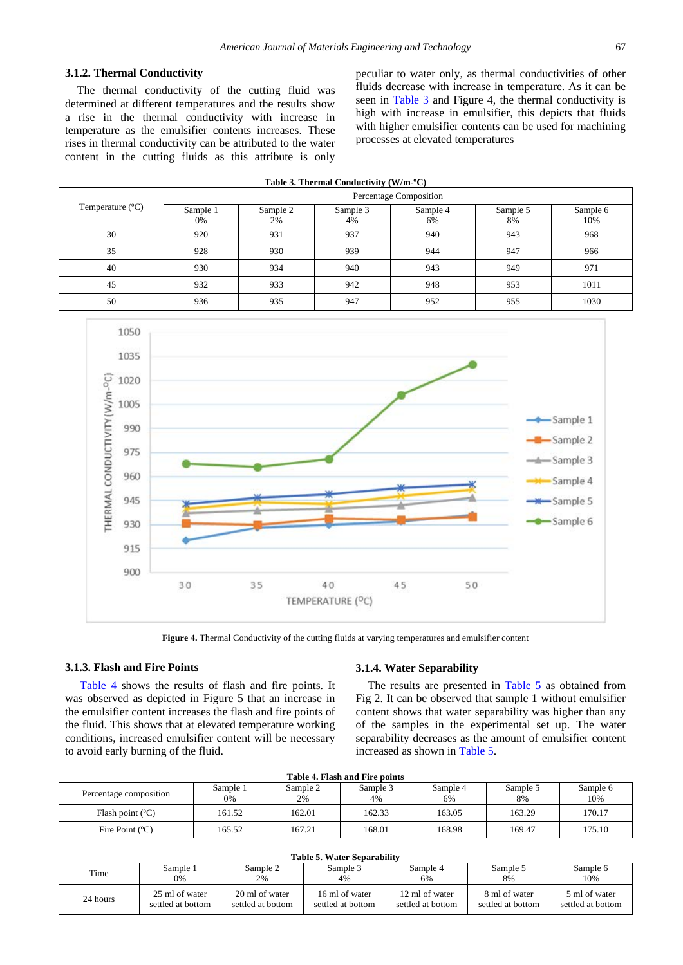#### **3.1.2. Thermal Conductivity**

The thermal conductivity of the cutting fluid was determined at different temperatures and the results show a rise in the thermal conductivity with increase in temperature as the emulsifier contents increases. These rises in thermal conductivity can be attributed to the water content in the cutting fluids as this attribute is only peculiar to water only, as thermal conductivities of other fluids decrease with increase in temperature. As it can be seen in [Table 3](#page-4-0) and Figure 4, the thermal conductivity is high with increase in emulsifier, this depicts that fluids with higher emulsifier contents can be used for machining processes at elevated temperatures

<span id="page-4-0"></span>

| Table 3. Thermal Conductivity (W/m-°C) |                        |                |                |                |                |                 |  |  |  |
|----------------------------------------|------------------------|----------------|----------------|----------------|----------------|-----------------|--|--|--|
|                                        | Percentage Composition |                |                |                |                |                 |  |  |  |
| Temperature (°C)                       | Sample 1<br>0%         | Sample 2<br>2% | Sample 3<br>4% | Sample 4<br>6% | Sample 5<br>8% | Sample 6<br>10% |  |  |  |
| 30                                     | 920                    | 931            | 937            | 940            | 943            | 968             |  |  |  |
| 35                                     | 928                    | 930            | 939            | 944            | 947            | 966             |  |  |  |
| 40                                     | 930                    | 934            | 940            | 943            | 949            | 971             |  |  |  |
| 45                                     | 932                    | 933            | 942            | 948            | 953            | 1011            |  |  |  |
| 50                                     | 936                    | 935            | 947            | 952            | 955            | 1030            |  |  |  |



Figure 4. Thermal Conductivity of the cutting fluids at varying temperatures and emulsifier content

#### **3.1.3. Flash and Fire Points**

[Table 4](#page-4-1) shows the results of flash and fire points. It was observed as depicted in Figure 5 that an increase in the emulsifier content increases the flash and fire points of the fluid. This shows that at elevated temperature working conditions, increased emulsifier content will be necessary to avoid early burning of the fluid.

#### **3.1.4. Water Separability**

The results are presented in [Table 5](#page-4-2) as obtained from Fig 2. It can be observed that sample 1 without emulsifier content shows that water separability was higher than any of the samples in the experimental set up. The water separability decreases as the amount of emulsifier content increased as shown in [Table 5.](#page-4-2)

<span id="page-4-1"></span>

| Table 7. I keel ahu T ite bollite |                |                |                |                |                |                 |  |  |
|-----------------------------------|----------------|----------------|----------------|----------------|----------------|-----------------|--|--|
| Percentage composition            | Sample 1<br>0% | Sample 2<br>2% | Sample 3<br>4% | Sample 4<br>6% | Sample 5<br>8% | Sample 6<br>10% |  |  |
| Flash point $(C)$                 | 161.52         | 162.01         | 162.33         | 163.05         | 163.29         | 170.17          |  |  |
| Fire Point $(C)$                  | 165.52         | 167.21         | 168.01         | 168.98         | 169.47         | 175.10          |  |  |

**Table 4. Flash and Fire points**

#### <span id="page-4-2"></span>Time Sample 1 0% Sample 2  $20/$ Sample 3 4% Sample 4 6% Sample 5 8% Sample 6 10% 24 hours 25 ml of water settled at bottom 20 ml of water settled at bottom 16 ml of water settled at bottom 12 ml of water settled at bottom 8 ml of water settled at bottom 5 ml of water settled at bottom

# **Table 5. Water Separability**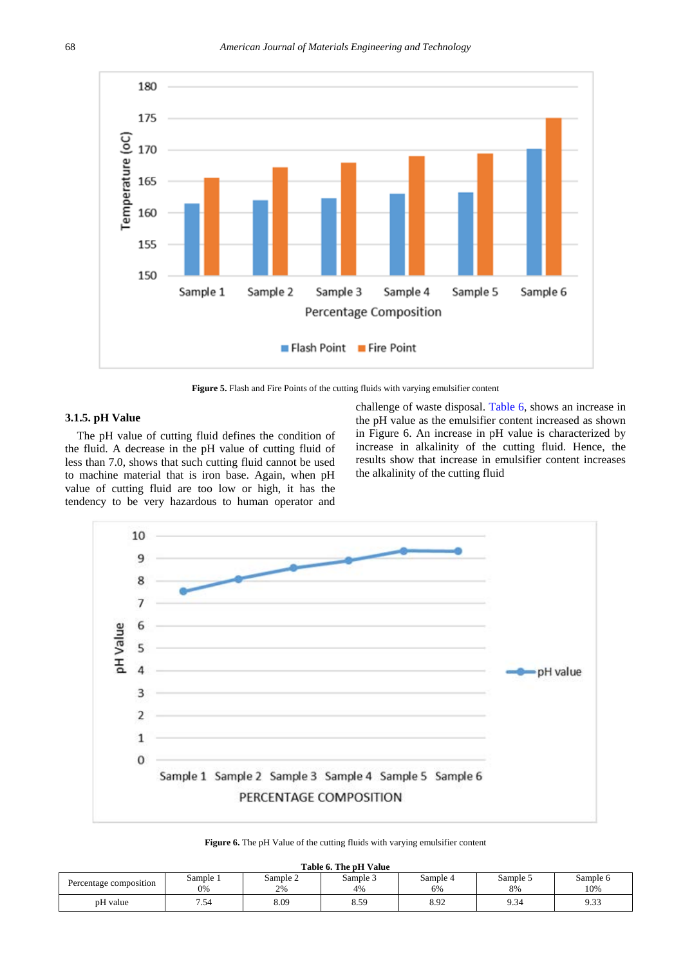

Figure 5. Flash and Fire Points of the cutting fluids with varying emulsifier content

#### **3.1.5. pH Value**

The pH value of cutting fluid defines the condition of the fluid. A decrease in the pH value of cutting fluid of less than 7.0, shows that such cutting fluid cannot be used to machine material that is iron base. Again, when pH value of cutting fluid are too low or high, it has the tendency to be very hazardous to human operator and

challenge of waste disposal. [Table 6,](#page-5-0) shows an increase in the pH value as the emulsifier content increased as shown in Figure 6. An increase in pH value is characterized by increase in alkalinity of the cutting fluid. Hence, the results show that increase in emulsifier content increases the alkalinity of the cutting fluid



|  | Figure 6. The pH Value of the cutting fluids with varying emulsifier content |  |  |
|--|------------------------------------------------------------------------------|--|--|
|--|------------------------------------------------------------------------------|--|--|

<span id="page-5-0"></span>

| Table 6. The pH Value  |                |                |                |                |                |                 |  |  |  |
|------------------------|----------------|----------------|----------------|----------------|----------------|-----------------|--|--|--|
| Percentage composition | Sample 1<br>0% | Sample 2<br>2% | Sample 3<br>4% | Sample 4<br>6% | Sample 5<br>8% | Sample 6<br>10% |  |  |  |
| pH value               | 7.54           | 8.09           | 8.59           | 8.92           | 9.34           | 9.33            |  |  |  |